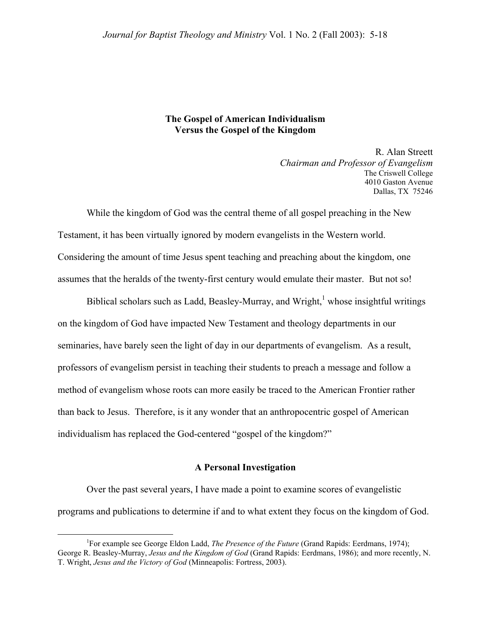## **The Gospel of American Individualism Versus the Gospel of the Kingdom**

R. Alan Streett *Chairman and Professor of Evangelism*  The Criswell College 4010 Gaston Avenue Dallas, TX 75246

While the kingdom of God was the central theme of all gospel preaching in the New Testament, it has been virtually ignored by modern evangelists in the Western world. Considering the amount of time Jesus spent teaching and preaching about the kingdom, one assumes that the heralds of the twenty-first century would emulate their master. But not so!

Biblical scholars such as Ladd, Beasley-Murray, and Wright,<sup>[1](#page-0-0)</sup> whose insightful writings on the kingdom of God have impacted New Testament and theology departments in our seminaries, have barely seen the light of day in our departments of evangelism. As a result, professors of evangelism persist in teaching their students to preach a message and follow a method of evangelism whose roots can more easily be traced to the American Frontier rather than back to Jesus. Therefore, is it any wonder that an anthropocentric gospel of American individualism has replaced the God-centered "gospel of the kingdom?"

## **A Personal Investigation**

Over the past several years, I have made a point to examine scores of evangelistic programs and publications to determine if and to what extent they focus on the kingdom of God.

<span id="page-0-0"></span> $\frac{1}{1}$ For example see George Eldon Ladd, *The Presence of the Future* (Grand Rapids: Eerdmans, 1974); George R. Beasley-Murray, *Jesus and the Kingdom of God* (Grand Rapids: Eerdmans, 1986); and more recently, N. T. Wright, *Jesus and the Victory of God* (Minneapolis: Fortress, 2003).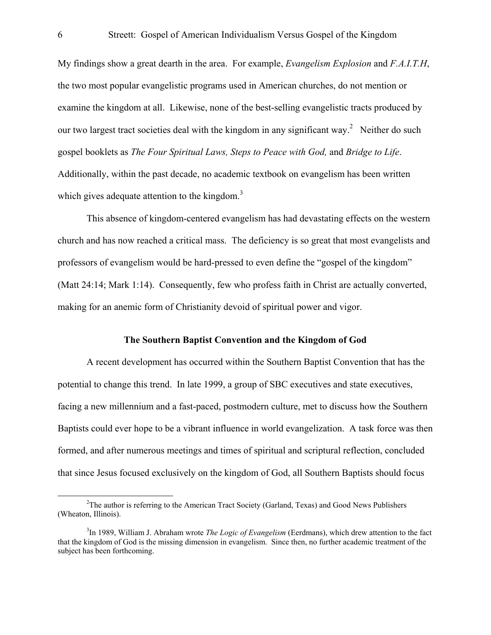My findings show a great dearth in the area. For example, *Evangelism Explosion* and *F.A.I.T.H*, the two most popular evangelistic programs used in American churches, do not mention or examine the kingdom at all. Likewise, none of the best-selling evangelistic tracts produced by our two largest tract societies deal with the kingdom in any significant way.<sup>[2](#page-1-0)</sup> Neither do such gospel booklets as *The Four Spiritual Laws, Steps to Peace with God,* and *Bridge to Life*. Additionally, within the past decade, no academic textbook on evangelism has been written which gives adequate attention to the kingdom. $3$ 

This absence of kingdom-centered evangelism has had devastating effects on the western church and has now reached a critical mass. The deficiency is so great that most evangelists and professors of evangelism would be hard-pressed to even define the "gospel of the kingdom" (Matt 24:14; Mark 1:14). Consequently, few who profess faith in Christ are actually converted, making for an anemic form of Christianity devoid of spiritual power and vigor.

## **The Southern Baptist Convention and the Kingdom of God**

A recent development has occurred within the Southern Baptist Convention that has the potential to change this trend.In late 1999, a group of SBC executives and state executives, facing a new millennium and a fast-paced, postmodern culture, met to discuss how the Southern Baptists could ever hope to be a vibrant influence in world evangelization. A task force was then formed, and after numerous meetings and times of spiritual and scriptural reflection, concluded that since Jesus focused exclusively on the kingdom of God, all Southern Baptists should focus

<span id="page-1-0"></span> $\frac{1}{2}$  $2$ The author is referring to the American Tract Society (Garland, Texas) and Good News Publishers (Wheaton, Illinois).

<span id="page-1-1"></span><sup>3</sup> In 1989, William J. Abraham wrote *The Logic of Evangelism* (Eerdmans), which drew attention to the fact that the kingdom of God is the missing dimension in evangelism. Since then, no further academic treatment of the subject has been forthcoming.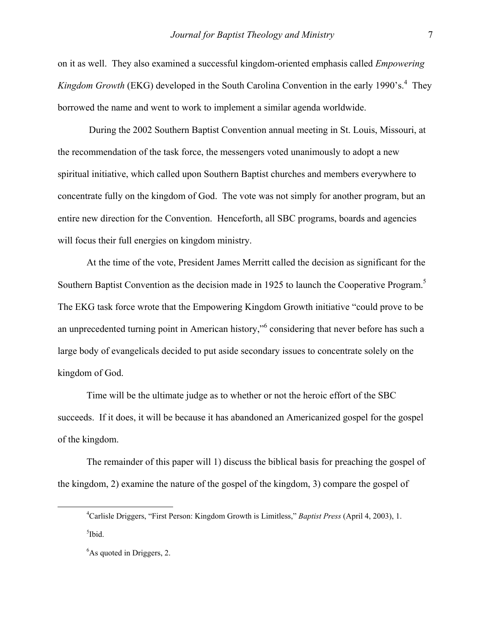on it as well. They also examined a successful kingdom-oriented emphasis called *Empowering*  Kingdom Growth (EKG) developed in the South Carolina Convention in the early 1990's.<sup>4</sup> They borrowed the name and went to work to implement a similar agenda worldwide.

 During the 2002 Southern Baptist Convention annual meeting in St. Louis, Missouri, at the recommendation of the task force, the messengers voted unanimously to adopt a new spiritual initiative, which called upon Southern Baptist churches and members everywhere to concentrate fully on the kingdom of God. The vote was not simply for another program, but an entire new direction for the Convention. Henceforth, all SBC programs, boards and agencies will focus their full energies on kingdom ministry.

At the time of the vote, President James Merritt called the decision as significant for the Southern Baptist Convention as the decision made in 192[5](#page-2-1) to launch the Cooperative Program.<sup>5</sup> The EKG task force wrote that the Empowering Kingdom Growth initiative "could prove to be anunprecedented turning point in American history," considering that never before has such a large body of evangelicals decided to put aside secondary issues to concentrate solely on the kingdom of God.

Time will be the ultimate judge as to whether or not the heroic effort of the SBC succeeds. If it does, it will be because it has abandoned an Americanized gospel for the gospel of the kingdom.

The remainder of this paper will 1) discuss the biblical basis for preaching the gospel of the kingdom, 2) examine the nature of the gospel of the kingdom, 3) compare the gospel of

<span id="page-2-0"></span> $\frac{1}{4}$ Carlisle Driggers, "First Person: Kingdom Growth is Limitless," *Baptist Press* (April 4, 2003), 1. <sup>5</sup>Ibid.

<span id="page-2-2"></span><span id="page-2-1"></span><sup>&</sup>lt;sup>6</sup>As quoted in Driggers, 2.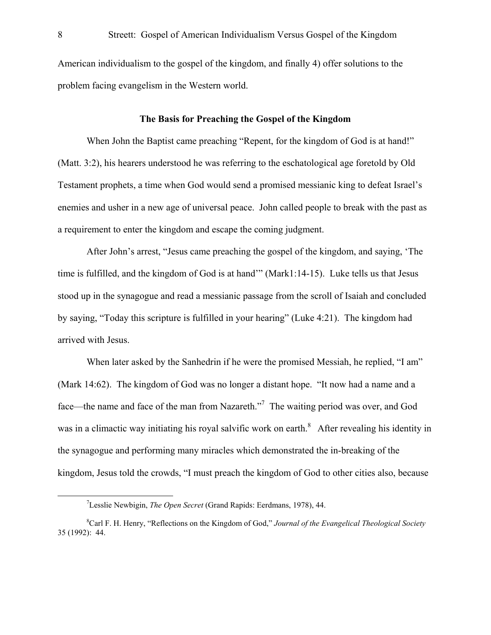American individualism to the gospel of the kingdom, and finally 4) offer solutions to the problem facing evangelism in the Western world.

# **The Basis for Preaching the Gospel of the Kingdom**

When John the Baptist came preaching "Repent, for the kingdom of God is at hand!" (Matt. 3:2), his hearers understood he was referring to the eschatological age foretold by Old Testament prophets, a time when God would send a promised messianic king to defeat Israel's enemies and usher in a new age of universal peace. John called people to break with the past as a requirement to enter the kingdom and escape the coming judgment.

After John's arrest, "Jesus came preaching the gospel of the kingdom, and saying, 'The time is fulfilled, and the kingdom of God is at hand'" (Mark1:14-15). Luke tells us that Jesus stood up in the synagogue and read a messianic passage from the scroll of Isaiah and concluded by saying, "Today this scripture is fulfilled in your hearing" (Luke 4:21). The kingdom had arrived with Jesus.

When later asked by the Sanhedrin if he were the promised Messiah, he replied, "I am" (Mark 14:62). The kingdom of God was no longer a distant hope. "It now had a name and a face—the name and face of the man from Nazareth."<sup>7</sup> The waiting period was over, and God was in a climactic way initiating his royal salvific work on earth. $\delta$  After revealing his identity in the synagogue and performing many miracles which demonstrated the in-breaking of the kingdom, Jesus told the crowds, "I must preach the kingdom of God to other cities also, because

<span id="page-3-0"></span> $\overline{\phantom{a}}$ Lesslie Newbigin, *The Open Secret* (Grand Rapids: Eerdmans, 1978), 44.

<span id="page-3-1"></span><sup>8</sup> Carl F. H. Henry, "Reflections on the Kingdom of God," *Journal of the Evangelical Theological Society* 35 (1992): 44.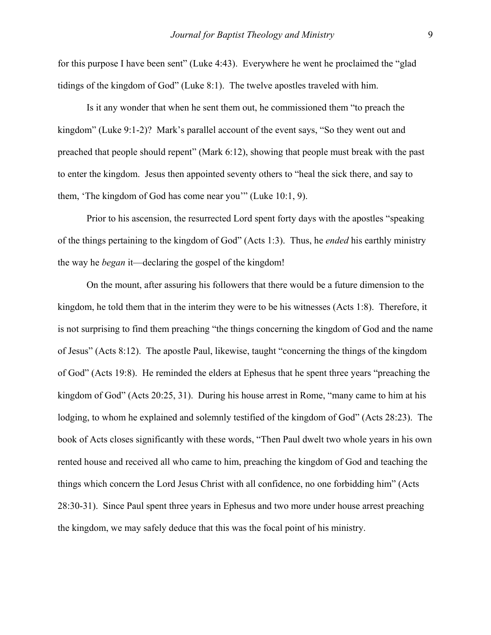for this purpose I have been sent" (Luke 4:43). Everywhere he went he proclaimed the "glad tidings of the kingdom of God" (Luke 8:1). The twelve apostles traveled with him.

Is it any wonder that when he sent them out, he commissioned them "to preach the kingdom" (Luke 9:1-2)? Mark's parallel account of the event says, "So they went out and preached that people should repent" (Mark 6:12), showing that people must break with the past to enter the kingdom. Jesus then appointed seventy others to "heal the sick there, and say to them, 'The kingdom of God has come near you'" (Luke 10:1, 9).

Prior to his ascension, the resurrected Lord spent forty days with the apostles "speaking of the things pertaining to the kingdom of God" (Acts 1:3). Thus, he *ended* his earthly ministry the way he *began* it—declaring the gospel of the kingdom!

On the mount, after assuring his followers that there would be a future dimension to the kingdom, he told them that in the interim they were to be his witnesses (Acts 1:8). Therefore, it is not surprising to find them preaching "the things concerning the kingdom of God and the name of Jesus" (Acts 8:12). The apostle Paul, likewise, taught "concerning the things of the kingdom of God" (Acts 19:8). He reminded the elders at Ephesus that he spent three years "preaching the kingdom of God" (Acts 20:25, 31). During his house arrest in Rome, "many came to him at his lodging, to whom he explained and solemnly testified of the kingdom of God" (Acts 28:23). The book of Acts closes significantly with these words, "Then Paul dwelt two whole years in his own rented house and received all who came to him, preaching the kingdom of God and teaching the things which concern the Lord Jesus Christ with all confidence, no one forbidding him" (Acts 28:30-31). Since Paul spent three years in Ephesus and two more under house arrest preaching the kingdom, we may safely deduce that this was the focal point of his ministry.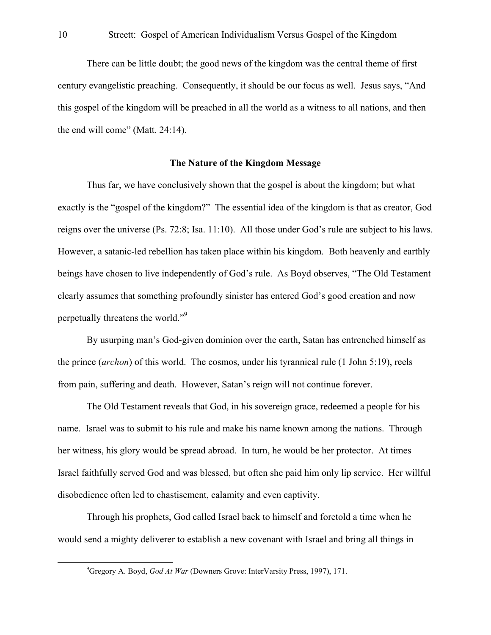There can be little doubt; the good news of the kingdom was the central theme of first century evangelistic preaching. Consequently, it should be our focus as well. Jesus says, "And this gospel of the kingdom will be preached in all the world as a witness to all nations, and then the end will come" (Matt. 24:14).

#### **The Nature of the Kingdom Message**

Thus far, we have conclusively shown that the gospel is about the kingdom; but what exactly is the "gospel of the kingdom?" The essential idea of the kingdom is that as creator, God reigns over the universe (Ps. 72:8; Isa. 11:10). All those under God's rule are subject to his laws. However, a satanic-led rebellion has taken place within his kingdom. Both heavenly and earthly beings have chosen to live independently of God's rule. As Boyd observes, "The Old Testament clearly assumes that something profoundly sinister has entered God's good creation and now perpetually threatens the world."<sup>[9](#page-5-0)</sup>

By usurping man's God-given dominion over the earth, Satan has entrenched himself as the prince (*archon*) of this world. The cosmos, under his tyrannical rule (1 John 5:19), reels from pain, suffering and death. However, Satan's reign will not continue forever.

The Old Testament reveals that God, in his sovereign grace, redeemed a people for his name. Israel was to submit to his rule and make his name known among the nations. Through her witness, his glory would be spread abroad. In turn, he would be her protector. At times Israel faithfully served God and was blessed, but often she paid him only lip service. Her willful disobedience often led to chastisement, calamity and even captivity.

Through his prophets, God called Israel back to himself and foretold a time when he would send a mighty deliverer to establish a new covenant with Israel and bring all things in

<span id="page-5-0"></span> $\frac{1}{9}$ Gregory A. Boyd, *God At War* (Downers Grove: InterVarsity Press, 1997), 171.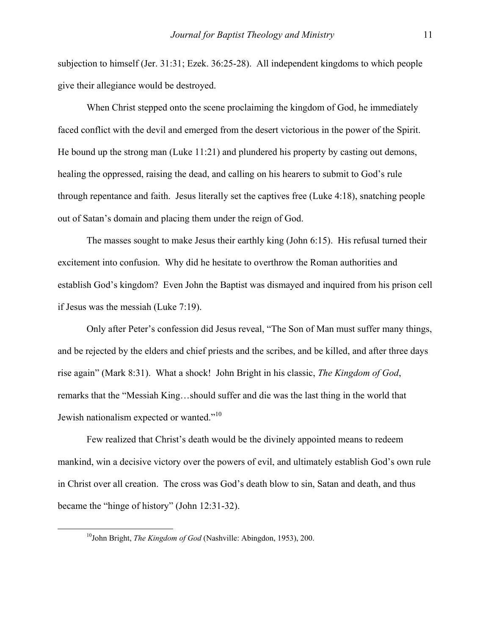subjection to himself (Jer. 31:31; Ezek. 36:25-28). All independent kingdoms to which people give their allegiance would be destroyed.

When Christ stepped onto the scene proclaiming the kingdom of God, he immediately faced conflict with the devil and emerged from the desert victorious in the power of the Spirit. He bound up the strong man (Luke 11:21) and plundered his property by casting out demons, healing the oppressed, raising the dead, and calling on his hearers to submit to God's rule through repentance and faith. Jesus literally set the captives free (Luke 4:18), snatching people out of Satan's domain and placing them under the reign of God.

The masses sought to make Jesus their earthly king (John 6:15). His refusal turned their excitement into confusion. Why did he hesitate to overthrow the Roman authorities and establish God's kingdom? Even John the Baptist was dismayed and inquired from his prison cell if Jesus was the messiah (Luke 7:19).

Only after Peter's confession did Jesus reveal, "The Son of Man must suffer many things, and be rejected by the elders and chief priests and the scribes, and be killed, and after three days rise again" (Mark 8:31). What a shock! John Bright in his classic, *The Kingdom of God*, remarks that the "Messiah King…should suffer and die was the last thing in the world that Jewish nationalism expected or wanted."<sup>[10](#page-6-0)</sup>

Few realized that Christ's death would be the divinely appointed means to redeem mankind, win a decisive victory over the powers of evil, and ultimately establish God's own rule in Christ over all creation. The cross was God's death blow to sin, Satan and death, and thus became the "hinge of history" (John 12:31-32).

<span id="page-6-0"></span> <sup>10</sup>John Bright, *The Kingdom of God* (Nashville: Abingdon, 1953), 200.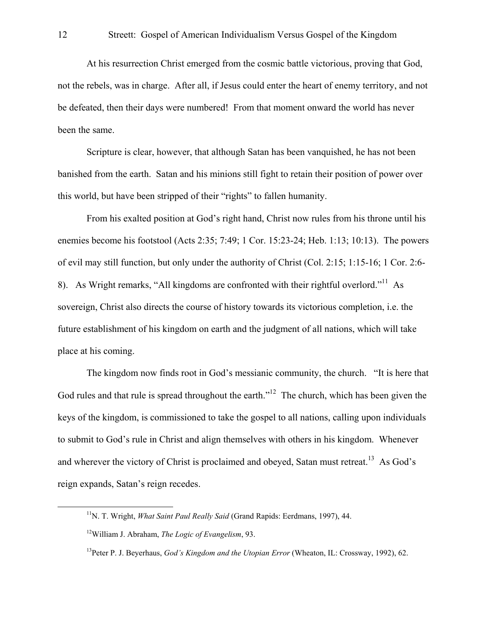At his resurrection Christ emerged from the cosmic battle victorious, proving that God, not the rebels, was in charge. After all, if Jesus could enter the heart of enemy territory, and not be defeated, then their days were numbered! From that moment onward the world has never been the same.

Scripture is clear, however, that although Satan has been vanquished, he has not been banished from the earth. Satan and his minions still fight to retain their position of power over this world, but have been stripped of their "rights" to fallen humanity.

From his exalted position at God's right hand, Christ now rules from his throne until his enemies become his footstool (Acts 2:35; 7:49; 1 Cor. 15:23-24; Heb. 1:13; 10:13). The powers of evil may still function, but only under the authority of Christ (Col. 2:15; 1:15-16; 1 Cor. 2:6- 8). As Wright remarks, "All kingdoms are confronted with their rightful overlord."<sup>11</sup> As sovereign, Christ also directs the course of history towards its victorious completion, i.e. the future establishment of his kingdom on earth and the judgment of all nations, which will take place at his coming.

The kingdom now finds root in God's messianic community, the church. "It is here that God rules and that rule is spread throughout the earth."<sup>12</sup> The church, which has been given the keys of the kingdom, is commissioned to take the gospel to all nations, calling upon individuals to submit to God's rule in Christ and align themselves with others in his kingdom. Whenever and wherever the victory of Christ is proclaimed and obeyed, Satan must retreat.<sup>13</sup> As God's reign expands, Satan's reign recedes.

<span id="page-7-0"></span><sup>&</sup>lt;sup>11</sup>N. T. Wright, *What Saint Paul Really Said* (Grand Rapids: Eerdmans, 1997), 44.

<span id="page-7-1"></span><sup>12</sup>William J. Abraham, *The Logic of Evangelism*, 93.

<span id="page-7-2"></span><sup>13</sup>Peter P. J. Beyerhaus, *God's Kingdom and the Utopian Error* (Wheaton, IL: Crossway, 1992), 62.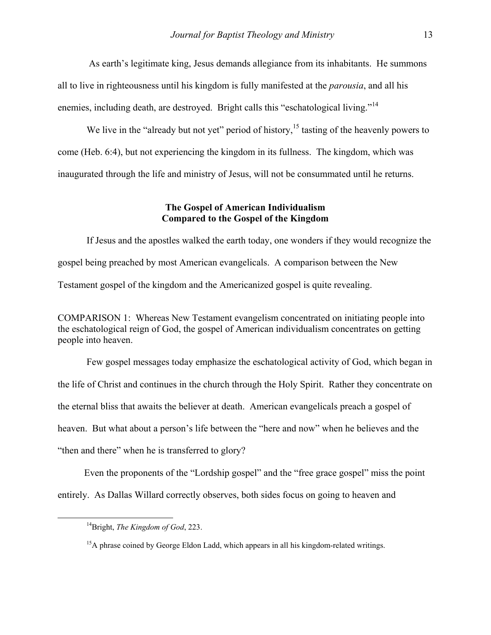As earth's legitimate king, Jesus demands allegiance from its inhabitants. He summons all to live in righteousness until his kingdom is fully manifested at the *parousia*, and all his enemies, including death, are destroyed. Bright calls this "eschatological living."<sup>[14](#page-8-0)</sup>

We live in the "already but not yet" period of history,<sup>15</sup> tasting of the heavenly powers to come (Heb. 6:4), but not experiencing the kingdom in its fullness. The kingdom, which was inaugurated through the life and ministry of Jesus, will not be consummated until he returns.

# **The Gospel of American Individualism Compared to the Gospel of the Kingdom**

If Jesus and the apostles walked the earth today, one wonders if they would recognize the gospel being preached by most American evangelicals. A comparison between the New Testament gospel of the kingdom and the Americanized gospel is quite revealing.

COMPARISON 1: Whereas New Testament evangelism concentrated on initiating people into the eschatological reign of God, the gospel of American individualism concentrates on getting people into heaven.

Few gospel messages today emphasize the eschatological activity of God, which began in the life of Christ and continues in the church through the Holy Spirit. Rather they concentrate on the eternal bliss that awaits the believer at death. American evangelicals preach a gospel of heaven. But what about a person's life between the "here and now" when he believes and the "then and there" when he is transferred to glory?

 Even the proponents of the "Lordship gospel" and the "free grace gospel" miss the point entirely. As Dallas Willard correctly observes, both sides focus on going to heaven and

<span id="page-8-0"></span> <sup>14</sup>Bright, *The Kingdom of God*, 223.

<span id="page-8-1"></span><sup>&</sup>lt;sup>15</sup>A phrase coined by George Eldon Ladd, which appears in all his kingdom-related writings.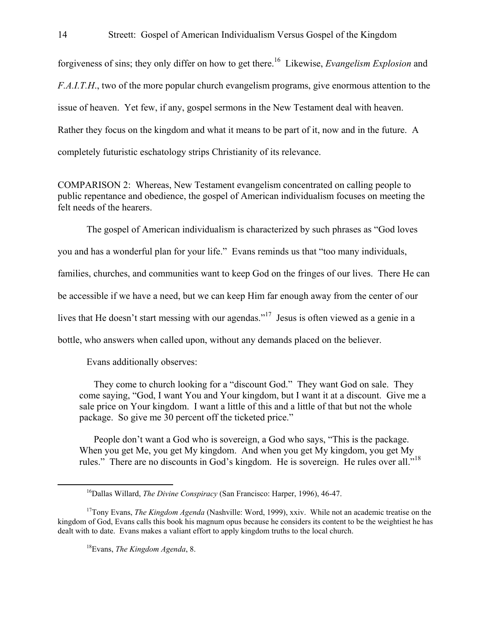forgiveness of sins; they only differ on how to get there.<sup>16</sup> Likewise, *Evangelism Explosion* and *F.A.I.T.H*., two of the more popular church evangelism programs, give enormous attention to the issue of heaven. Yet few, if any, gospel sermons in the New Testament deal with heaven. Rather they focus on the kingdom and what it means to be part of it, now and in the future. A completely futuristic eschatology strips Christianity of its relevance.

COMPARISON 2: Whereas, New Testament evangelism concentrated on calling people to public repentance and obedience, the gospel of American individualism focuses on meeting the felt needs of the hearers.

 The gospel of American individualism is characterized by such phrases as "God loves you and has a wonderful plan for your life." Evans reminds us that "too many individuals, families, churches, and communities want to keep God on the fringes of our lives. There He can be accessible if we have a need, but we can keep Him far enough away from the center of our lives that He doesn't start messing with our agendas."<sup>17</sup> Jesus is often viewed as a genie in a bottle, who answers when called upon, without any demands placed on the believer.

Evans additionally observes:

They come to church looking for a "discount God." They want God on sale. They come saying, "God, I want You and Your kingdom, but I want it at a discount. Give me a sale price on Your kingdom. I want a little of this and a little of that but not the whole package. So give me 30 percent off the ticketed price."

People don't want a God who is sovereign, a God who says, "This is the package. When you get Me, you get My kingdom. And when you get My kingdom, you get My rules." There are no discounts in God's kingdom. He is sovereign. He rules over all."[18](#page-9-2) 

<span id="page-9-2"></span>18Evans, *The Kingdom Agenda*, 8.

<span id="page-9-1"></span><span id="page-9-0"></span> <sup>16</sup>Dallas Willard, *The Divine Conspiracy* (San Francisco: Harper, 1996), 46-47.

<sup>&</sup>lt;sup>17</sup>Tony Evans, *The Kingdom Agenda* (Nashville: Word, 1999), xxiv. While not an academic treatise on the kingdom of God, Evans calls this book his magnum opus because he considers its content to be the weightiest he has dealt with to date. Evans makes a valiant effort to apply kingdom truths to the local church.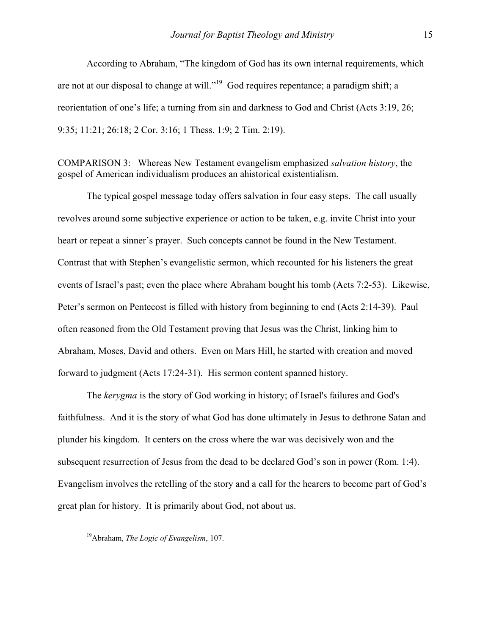According to Abraham, "The kingdom of God has its own internal requirements, which are not at our disposal to change at will."[19](#page-10-0) God requires repentance; a paradigm shift; a reorientation of one's life; a turning from sin and darkness to God and Christ (Acts 3:19, 26; 9:35; 11:21; 26:18; 2 Cor. 3:16; 1 Thess. 1:9; 2 Tim. 2:19).

COMPARISON 3: Whereas New Testament evangelism emphasized *salvation history*, the gospel of American individualism produces an ahistorical existentialism.

The typical gospel message today offers salvation in four easy steps. The call usually revolves around some subjective experience or action to be taken, e.g. invite Christ into your heart or repeat a sinner's prayer. Such concepts cannot be found in the New Testament. Contrast that with Stephen's evangelistic sermon, which recounted for his listeners the great events of Israel's past; even the place where Abraham bought his tomb (Acts 7:2-53). Likewise, Peter's sermon on Pentecost is filled with history from beginning to end (Acts 2:14-39). Paul often reasoned from the Old Testament proving that Jesus was the Christ, linking him to Abraham, Moses, David and others. Even on Mars Hill, he started with creation and moved forward to judgment (Acts 17:24-31). His sermon content spanned history.

The *kerygma* is the story of God working in history; of Israel's failures and God's faithfulness. And it is the story of what God has done ultimately in Jesus to dethrone Satan and plunder his kingdom. It centers on the cross where the war was decisively won and the subsequent resurrection of Jesus from the dead to be declared God's son in power (Rom. 1:4). Evangelism involves the retelling of the story and a call for the hearers to become part of God's great plan for history. It is primarily about God, not about us.

<span id="page-10-0"></span> <sup>19</sup>Abraham, *The Logic of Evangelism*, 107.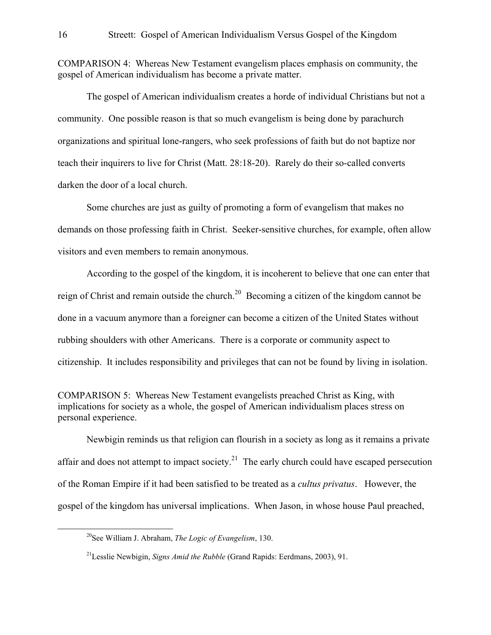COMPARISON 4: Whereas New Testament evangelism places emphasis on community, the gospel of American individualism has become a private matter.

 The gospel of American individualism creates a horde of individual Christians but not a community. One possible reason is that so much evangelism is being done by parachurch organizations and spiritual lone-rangers, who seek professions of faith but do not baptize nor teach their inquirers to live for Christ (Matt. 28:18-20). Rarely do their so-called converts darken the door of a local church.

 Some churches are just as guilty of promoting a form of evangelism that makes no demands on those professing faith in Christ. Seeker-sensitive churches, for example, often allow visitors and even members to remain anonymous.

According to the gospel of the kingdom, it is incoherent to believe that one can enter that reign of Christ and remain outside the church.[20](#page-11-0) Becoming a citizen of the kingdom cannot be done in a vacuum anymore than a foreigner can become a citizen of the United States without rubbing shoulders with other Americans. There is a corporate or community aspect to citizenship. It includes responsibility and privileges that can not be found by living in isolation.

COMPARISON 5: Whereas New Testament evangelists preached Christ as King, with implications for society as a whole, the gospel of American individualism places stress on personal experience.

Newbigin reminds us that religion can flourish in a society as long as it remains a private affair and does not attempt to impact society.<sup>21</sup> The early church could have escaped persecution of the Roman Empire if it had been satisfied to be treated as a *cultus privatus*. However, the gospel of the kingdom has universal implications. When Jason, in whose house Paul preached,

<span id="page-11-0"></span> <sup>20</sup>See William J. Abraham, *The Logic of Evangelism*, 130.

<span id="page-11-1"></span><sup>21</sup>Lesslie Newbigin, *Signs Amid the Rubble* (Grand Rapids: Eerdmans, 2003), 91.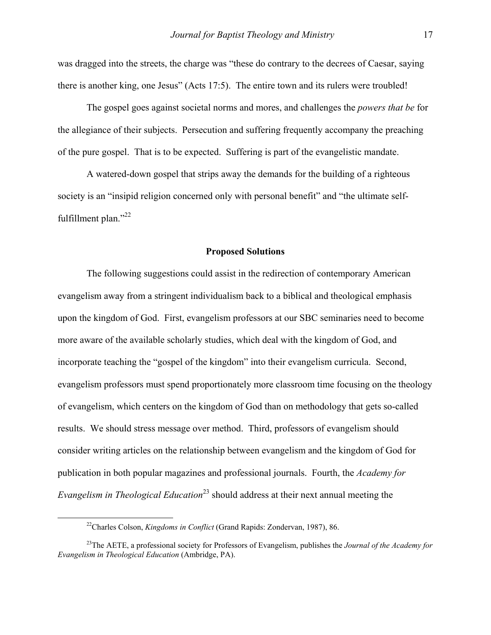was dragged into the streets, the charge was "these do contrary to the decrees of Caesar, saying there is another king, one Jesus" (Acts 17:5). The entire town and its rulers were troubled!

The gospel goes against societal norms and mores, and challenges the *powers that be* for the allegiance of their subjects. Persecution and suffering frequently accompany the preaching of the pure gospel. That is to be expected. Suffering is part of the evangelistic mandate.

A watered-down gospel that strips away the demands for the building of a righteous society is an "insipid religion concerned only with personal benefit" and "the ultimate selffulfillment plan."<sup>22</sup>

#### **Proposed Solutions**

The following suggestions could assist in the redirection of contemporary American evangelism away from a stringent individualism back to a biblical and theological emphasis upon the kingdom of God. First, evangelism professors at our SBC seminaries need to become more aware of the available scholarly studies, which deal with the kingdom of God, and incorporate teaching the "gospel of the kingdom" into their evangelism curricula. Second, evangelism professors must spend proportionately more classroom time focusing on the theology of evangelism, which centers on the kingdom of God than on methodology that gets so-called results. We should stress message over method. Third, professors of evangelism should consider writing articles on the relationship between evangelism and the kingdom of God for publication in both popular magazines and professional journals. Fourth, the *Academy for Evangelism in Theological Education*<sup>23</sup> should address at their next annual meeting the

<span id="page-12-1"></span><span id="page-12-0"></span> <sup>22</sup>Charles Colson, *Kingdoms in Conflict* (Grand Rapids: Zondervan, 1987), 86.

<sup>23</sup>The AETE, a professional society for Professors of Evangelism, publishes the *Journal of the Academy for Evangelism in Theological Education* (Ambridge, PA).